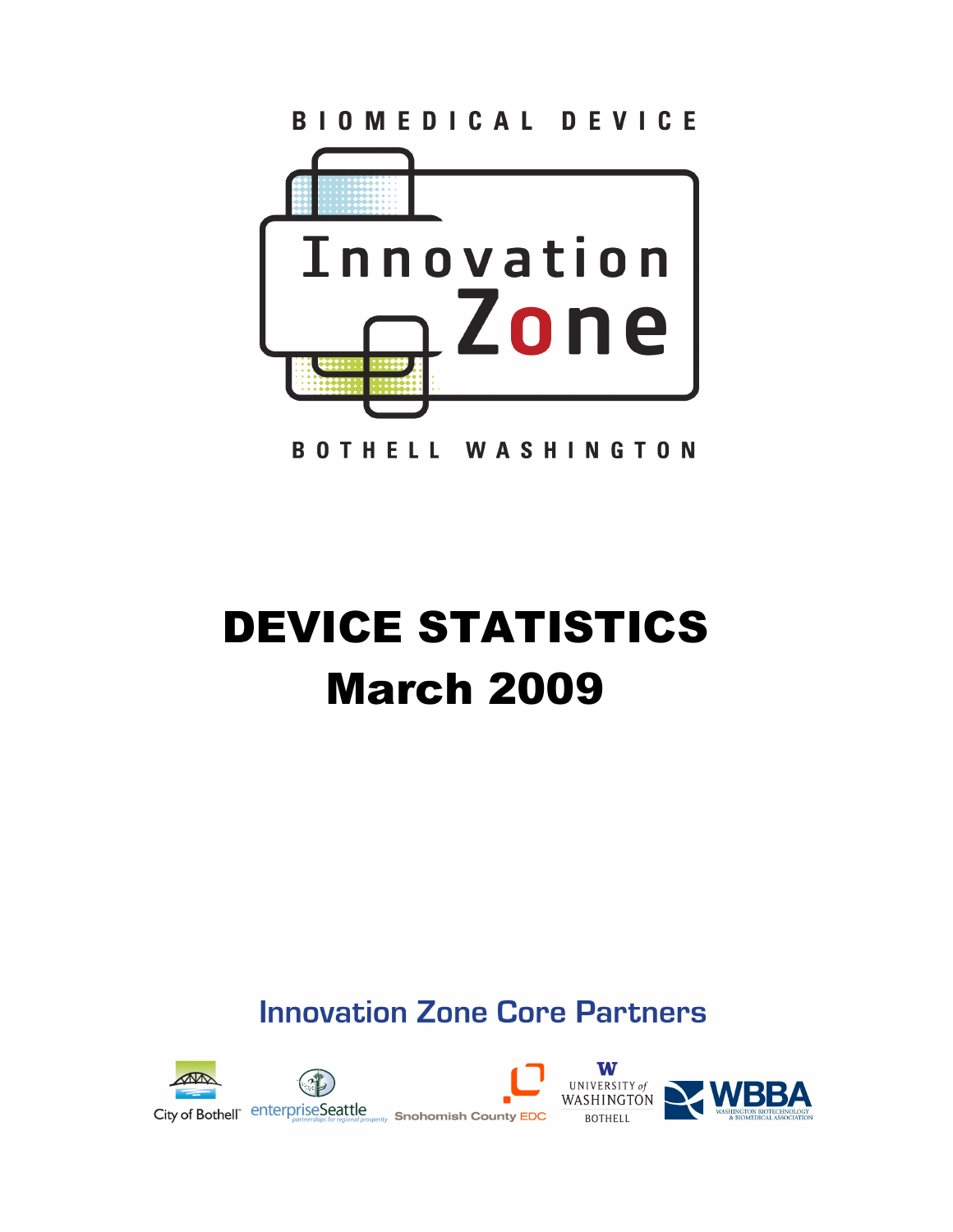

BIOMEDICAL DEVICE

**BOTHELL WASHINGTON** 

# DEVICE STATISTICS March 2009

**Innovation Zone Core Partners** 

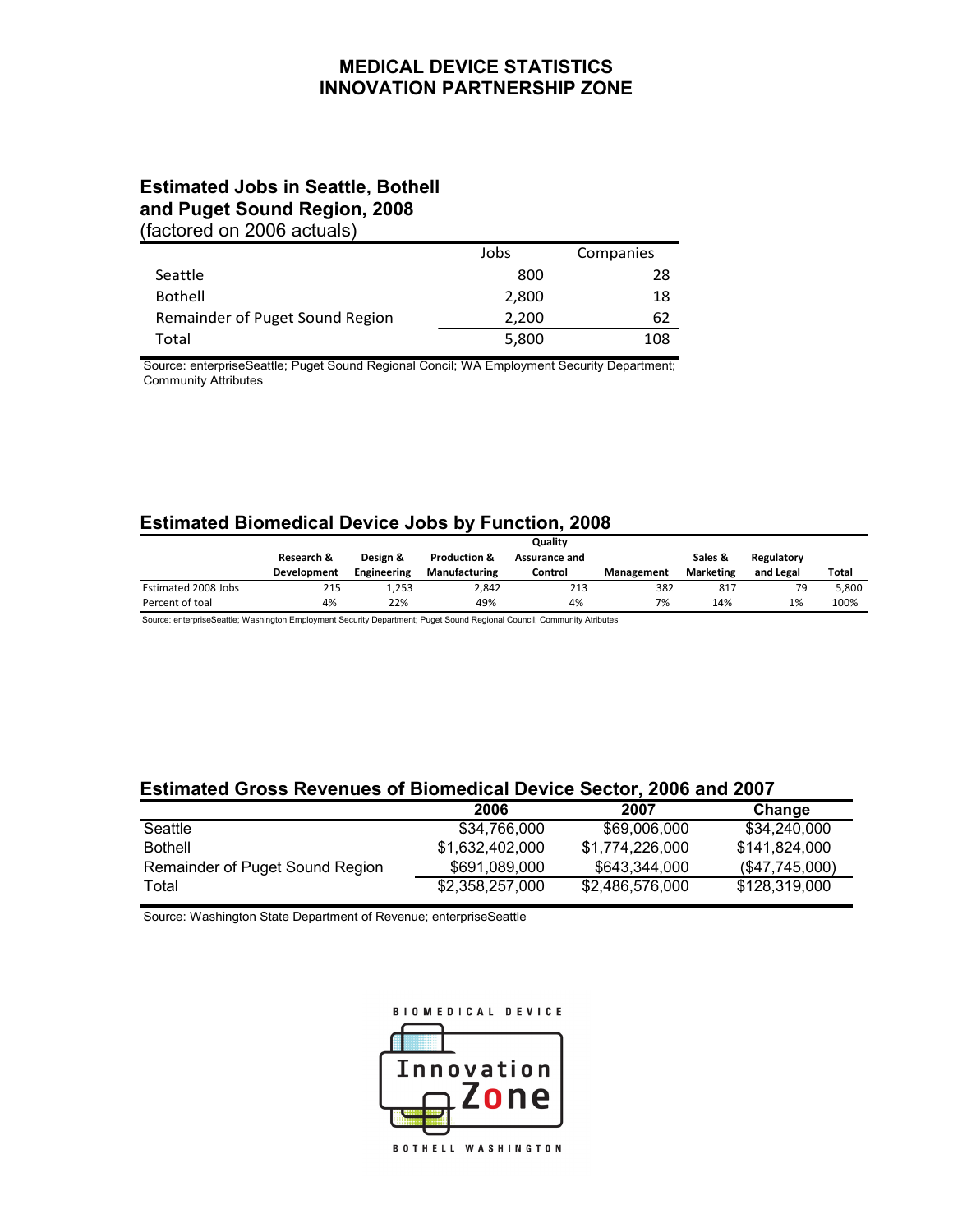#### **MEDICAL DEVICE STATISTICS INNOVATION PARTNERSHIP ZONE**

# **Estimated Jobs in Seattle, Bothell and Puget Sound Region, 2008**

(factored on 2006 actuals)

|                                 | Jobs  | Companies |
|---------------------------------|-------|-----------|
| Seattle                         | 800   | 28        |
| <b>Bothell</b>                  | 2,800 | 18        |
| Remainder of Puget Sound Region | 2,200 | 62        |
| Total                           | 5,800 | 108       |

Source: enterpriseSeattle; Puget Sound Regional Concil; WA Employment Security Department; Community Attributes

## **Estimated Biomedical Device Jobs by Function, 2008**

|                     | Quality            |             |                         |               |            |                  |            |       |
|---------------------|--------------------|-------------|-------------------------|---------------|------------|------------------|------------|-------|
|                     | Research &         | Design &    | <b>Production &amp;</b> | Assurance and |            | Sales &          | Regulatory |       |
|                     | <b>Development</b> | Engineering | <b>Manufacturing</b>    | Control       | Management | <b>Marketing</b> | and Legal  | Total |
| Estimated 2008 Jobs | 215                | 1,253       | 2.842                   | 213           | 382        | 817              | 79         | 5.800 |
| Percent of toal     | 4%                 | 22%         | 49%                     | 4%            | 7%         | 14%              | 1%         | 100%  |

Source: enterpriseSeattle; Washington Employment Security Department; Puget Sound Regional Council; Community Atributes

## **Estimated Gross Revenues of Biomedical Device Sector, 2006 and 2007**

|                                 | 2006            | 2007            | Change        |
|---------------------------------|-----------------|-----------------|---------------|
| Seattle                         | \$34.766.000    | \$69,006,000    | \$34.240.000  |
| <b>Bothell</b>                  | \$1.632.402.000 | \$1.774.226.000 | \$141.824.000 |
| Remainder of Puget Sound Region | \$691,089,000   | \$643.344.000   | (S47,745,000) |
| Total                           | \$2,358,257,000 | \$2,486,576,000 | \$128,319,000 |

Source: Washington State Department of Revenue; enterpriseSeattle

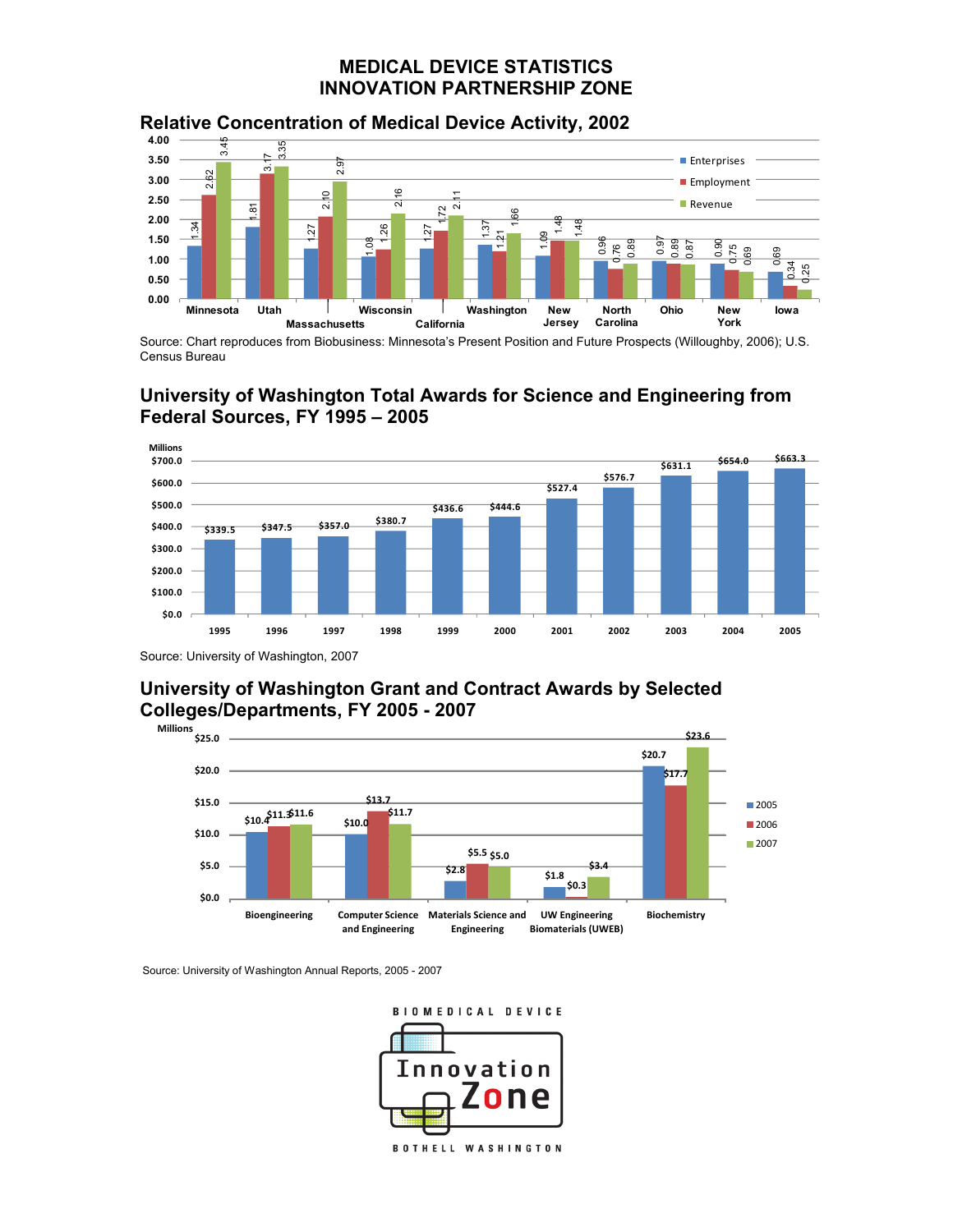#### **MEDICAL DEVICE STATISTICS INNOVATION PARTNERSHIP ZONE**



**Relative Concentration of Medical Device Activity, 2002** 

Source: Chart reproduces from Biobusiness: Minnesota's Present Position and Future Prospects (Willoughby, 2006); U.S. Census Bureau

# **University of Washington Total Awards for Science and Engineering from Federal Sources, FY 1995 – 2005**



Source: University of Washington, 2007

## **University of Washington Grant and Contract Awards by Selected Colleges/Departments, FY 2005 - 2007**



Source: University of Washington Annual Reports, 2005 - 2007

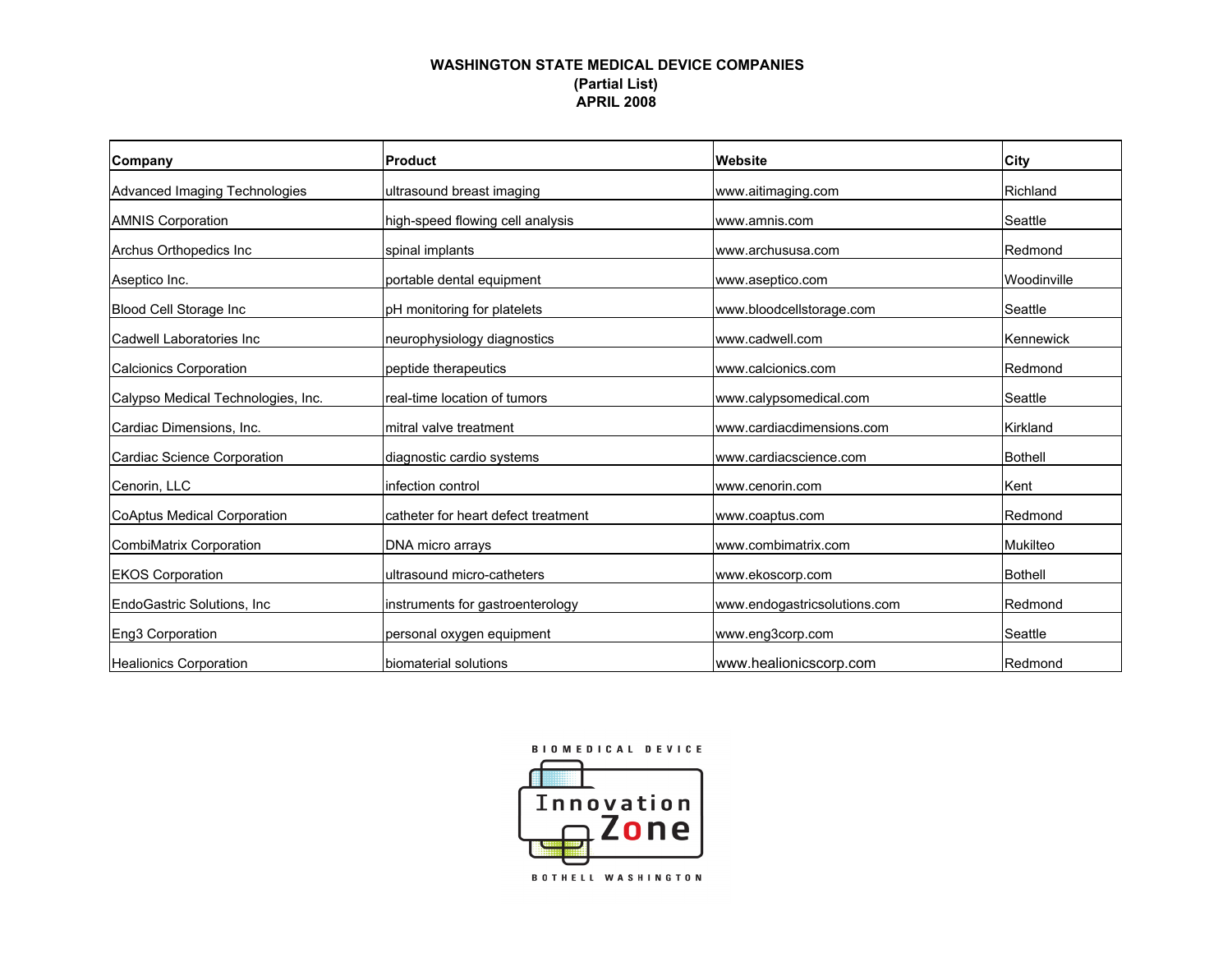#### **WASHINGTON STATE MEDICAL DEVICE COMPANIES(Partial List) APRIL 2008**

| Company                            | Product                             | Website                      | City        |
|------------------------------------|-------------------------------------|------------------------------|-------------|
| Advanced Imaging Technologies      | ultrasound breast imaging           | www.aitimaging.com           | Richland    |
| <b>AMNIS Corporation</b>           | high-speed flowing cell analysis    | www.amnis.com                | Seattle     |
| Archus Orthopedics Inc.            | spinal implants                     | www.archususa.com            | Redmond     |
| Aseptico Inc.                      | portable dental equipment           | www.aseptico.com             | Woodinville |
| Blood Cell Storage Inc             | pH monitoring for platelets         | www.bloodcellstorage.com     | Seattle     |
| Cadwell Laboratories Inc           | neurophysiology diagnostics         | www.cadwell.com              | Kennewick   |
| Calcionics Corporation             | peptide therapeutics                | www.calcionics.com           | Redmond     |
| Calypso Medical Technologies, Inc. | real-time location of tumors        | www.calypsomedical.com       | Seattle     |
| Cardiac Dimensions, Inc.           | mitral valve treatment              | www.cardiacdimensions.com    | Kirkland    |
| Cardiac Science Corporation        | diagnostic cardio systems           | www.cardiacscience.com       | Bothell     |
| Cenorin, LLC                       | infection control                   | www.cenorin.com              | Kent        |
| CoAptus Medical Corporation        | catheter for heart defect treatment | www.coaptus.com              | Redmond     |
| CombiMatrix Corporation            | DNA micro arrays                    | www.combimatrix.com          | Mukilteo    |
| <b>EKOS Corporation</b>            | ultrasound micro-catheters          | www.ekoscorp.com             | Bothell     |
| EndoGastric Solutions, Inc.        | instruments for gastroenterology    | www.endogastricsolutions.com | Redmond     |
| Eng3 Corporation                   | personal oxygen equipment           | www.eng3corp.com             | Seattle     |
| Healionics Corporation             | Ibiomaterial solutions              | www.healionicscorp.com       | Redmond     |

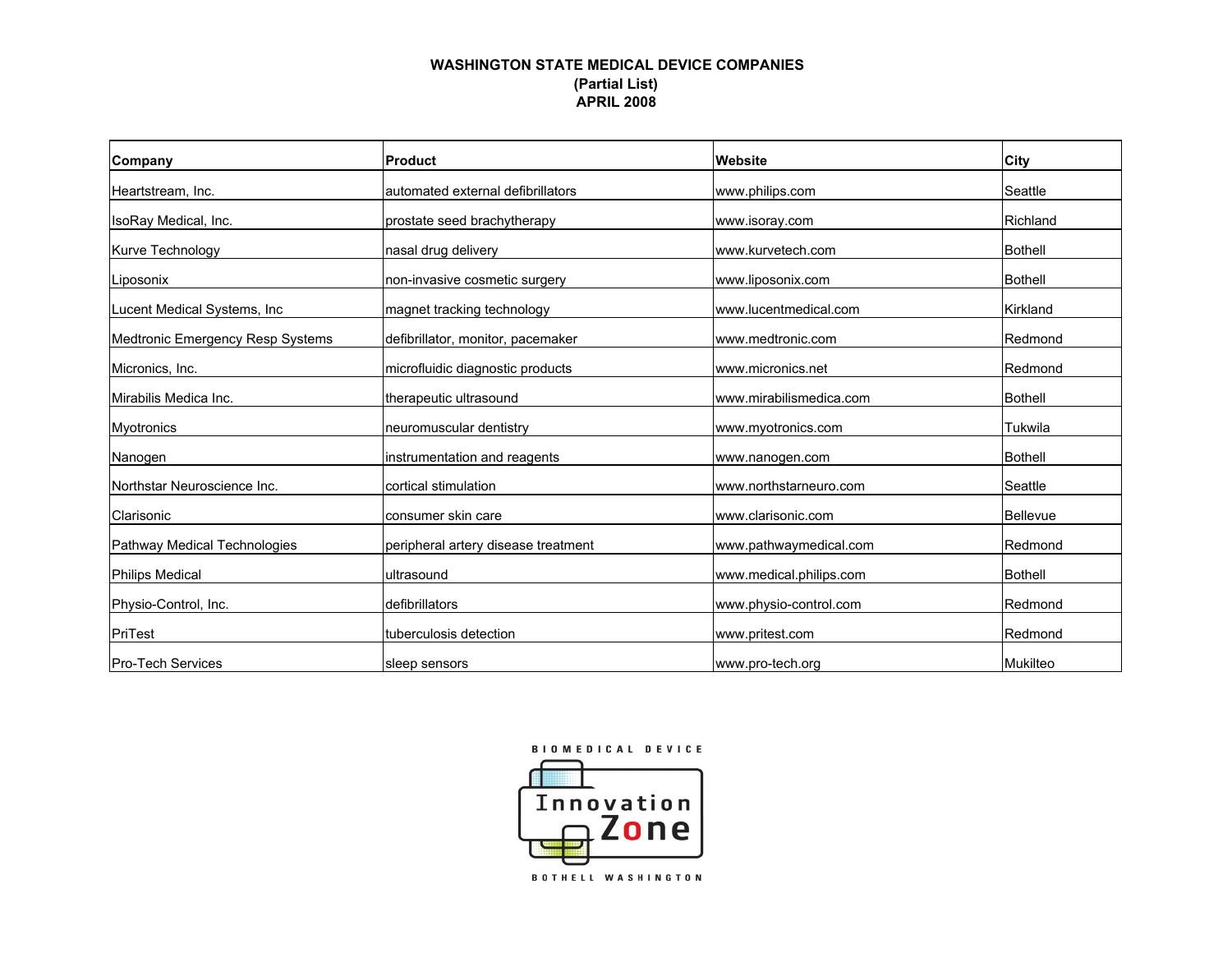#### **WASHINGTON STATE MEDICAL DEVICE COMPANIES(Partial List) APRIL 2008**

| Company                          | <b>Product</b>                      | Website                 | City           |
|----------------------------------|-------------------------------------|-------------------------|----------------|
| Heartstream, Inc.                | automated external defibrillators   | www.philips.com         | Seattle        |
| IsoRay Medical, Inc.             | prostate seed brachytherapy         | www.isoray.com          | Richland       |
| <b>Kurve Technology</b>          | nasal drug delivery                 | www.kurvetech.com       | Bothell        |
| Liposonix                        | non-invasive cosmetic surgery       | www.liposonix.com       | Bothell        |
| Lucent Medical Systems, Inc.     | magnet tracking technology          | www.lucentmedical.com   | Kirkland       |
| Medtronic Emergency Resp Systems | defibrillator, monitor, pacemaker   | www.medtronic.com       | Redmond        |
| Micronics, Inc.                  | microfluidic diagnostic products    | www.micronics.net       | Redmond        |
| Mirabilis Medica Inc.            | therapeutic ultrasound              | www.mirabilismedica.com | Bothell        |
| <b>Myotronics</b>                | neuromuscular dentistry             | www.myotronics.com      | Tukwila        |
| Nanogen                          | instrumentation and reagents        | www.nanogen.com         | <b>Bothell</b> |
| Northstar Neuroscience Inc.      | cortical stimulation                | www.northstarneuro.com  | Seattle        |
| Clarisonic                       | consumer skin care                  | www.clarisonic.com      | Bellevue       |
| Pathway Medical Technologies     | peripheral artery disease treatment | www.pathwaymedical.com  | Redmond        |
| <b>Philips Medical</b>           | ultrasound                          | www.medical.philips.com | Bothell        |
| Physio-Control, Inc.             | defibrillators                      | www.physio-control.com  | Redmond        |
| PriTest                          | tuberculosis detection              | www.pritest.com         | Redmond        |
| <b>Pro-Tech Services</b>         | sleep sensors                       | www.pro-tech.org        | Mukilteo       |